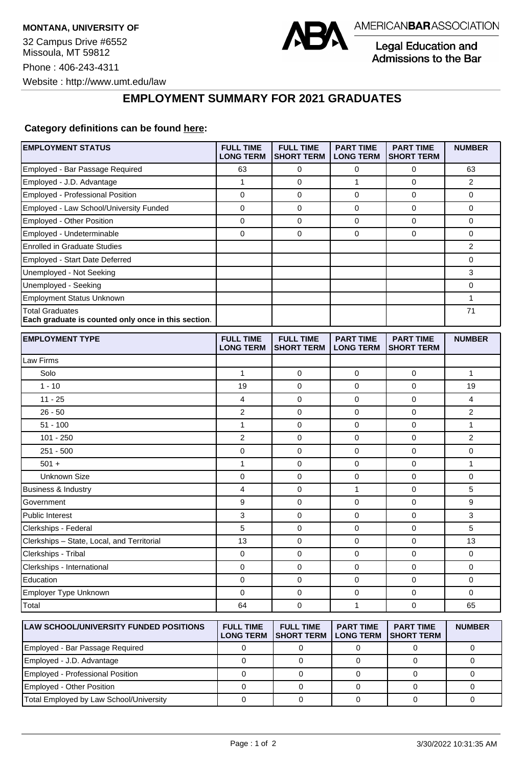

Legal Education and Admissions to the Bar

## **EMPLOYMENT SUMMARY FOR 2021 GRADUATES**

## **Category definitions can be found [here:](https://www.americanbar.org/content/dam/aba/administrative/legal_education_and_admissions_to_the_bar/Questionnaires/2021/2022-employment-protocols-for-the-class-of-2021-september-2021.pdf)**

| <b>EMPLOYMENT STATUS</b>                                                      | <b>FULL TIME</b><br><b>LONG TERM</b> | <b>FULL TIME</b><br><b>SHORT TERM</b> | <b>PART TIME</b><br><b>LONG TERM</b> | <b>PART TIME</b><br><b>SHORT TERM</b> | <b>NUMBER</b> |
|-------------------------------------------------------------------------------|--------------------------------------|---------------------------------------|--------------------------------------|---------------------------------------|---------------|
| Employed - Bar Passage Required                                               | 63                                   | 0                                     | 0                                    | 0                                     | 63            |
| Employed - J.D. Advantage                                                     | 1                                    | 0                                     | 1                                    | 0                                     | 2             |
| Employed - Professional Position                                              | 0                                    | $\mathbf 0$                           | 0                                    | $\mathbf 0$                           | 0             |
| Employed - Law School/University Funded                                       | 0                                    | 0                                     | 0                                    | 0                                     | 0             |
| Employed - Other Position                                                     | 0                                    | 0                                     | 0                                    | $\mathbf 0$                           | 0             |
| Employed - Undeterminable                                                     | 0                                    | $\mathbf 0$                           | 0                                    | $\mathbf 0$                           | 0             |
| <b>Enrolled in Graduate Studies</b>                                           |                                      |                                       |                                      |                                       | 2             |
| Employed - Start Date Deferred                                                |                                      |                                       |                                      |                                       | 0             |
| Unemployed - Not Seeking                                                      |                                      |                                       |                                      |                                       | 3             |
| Unemployed - Seeking                                                          |                                      |                                       |                                      |                                       | 0             |
| <b>Employment Status Unknown</b>                                              |                                      |                                       |                                      |                                       | $\mathbf{1}$  |
| <b>Total Graduates</b><br>Each graduate is counted only once in this section. |                                      |                                       |                                      |                                       | 71            |
| <b>EMPLOYMENT TYPE</b>                                                        | <b>FULL TIME</b><br><b>LONG TERM</b> | <b>FULL TIME</b><br><b>SHORT TERM</b> | <b>PART TIME</b><br><b>LONG TERM</b> | <b>PART TIME</b><br><b>SHORT TERM</b> | <b>NUMBER</b> |
| Law Firms                                                                     |                                      |                                       |                                      |                                       |               |
| Solo                                                                          | 1                                    | 0                                     | 0                                    | 0                                     | 1             |
| $1 - 10$                                                                      | 19                                   | $\mathbf 0$                           | 0                                    | $\mathbf 0$                           | 19            |
| $11 - 25$                                                                     | 4                                    | $\mathbf 0$                           | 0                                    | $\mathbf 0$                           | 4             |
| $26 - 50$                                                                     | 2                                    | $\mathbf 0$                           | 0                                    | 0                                     | 2             |
| $51 - 100$                                                                    | 1                                    | $\mathbf 0$                           | 0                                    | $\mathbf 0$                           | $\mathbf{1}$  |
| $101 - 250$                                                                   | 2                                    | 0                                     | 0                                    | 0                                     | 2             |
| $251 - 500$                                                                   | 0                                    | $\mathbf 0$                           | 0                                    | $\mathbf 0$                           | 0             |
| $501 +$                                                                       | 1                                    | 0                                     | 0                                    | $\mathbf 0$                           | 1             |
| <b>Unknown Size</b>                                                           | 0                                    | 0                                     | 0                                    | $\mathbf 0$                           | 0             |
| Business & Industry                                                           | 4                                    | 0                                     | 1                                    | $\mathbf 0$                           | 5             |
| Government                                                                    | 9                                    | 0                                     | 0                                    | $\mathbf 0$                           | 9             |
| <b>Public Interest</b>                                                        | 3                                    | $\mathbf 0$                           | 0                                    | $\mathbf 0$                           | 3             |
| Clerkships - Federal                                                          | 5                                    | $\mathbf 0$                           | 0                                    | 0                                     | 5             |
| Clerkships - State, Local, and Territorial                                    | 13                                   | $\mathbf 0$                           | 0                                    | $\mathbf 0$                           | 13            |
| Clerkships - Tribal                                                           | 0                                    | 0                                     | 0                                    | 0                                     | 0             |
| Clerkships - International                                                    | 0                                    | $\mathbf 0$                           | 0                                    | $\mathbf 0$                           | 0             |
| Education                                                                     | 0                                    | 0                                     | 0                                    | 0                                     | 0             |
| Employer Type Unknown                                                         | 0                                    | 0                                     | 0                                    | 0                                     | $\mathbf 0$   |
| Total                                                                         | 64                                   | 0                                     | 1                                    | 0                                     | 65            |
| <b>LAW SCHOOL/UNIVERSITY FUNDED POSITIONS</b>                                 | <b>FULL TIME</b><br><b>LONG TERM</b> | <b>FULL TIME</b><br><b>SHORT TERM</b> | <b>PART TIME</b><br><b>LONG TERM</b> | <b>PART TIME</b><br><b>SHORT TERM</b> | <b>NUMBER</b> |
| Employed - Bar Passage Required                                               | $\Omega$                             | $\Omega$                              | $\Omega$                             | $\Omega$                              | $\Omega$      |